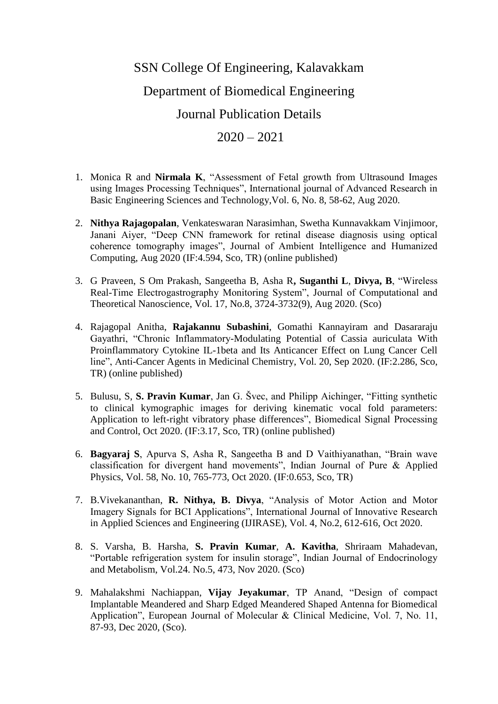## SSN College Of Engineering, Kalavakkam Department of Biomedical Engineering Journal Publication Details

## $2020 - 2021$

- 1. Monica R and **Nirmala K**, "Assessment of Fetal growth from Ultrasound Images using Images Processing Techniques", International journal of Advanced Research in Basic Engineering Sciences and Technology,Vol. 6, No. 8, 58-62, Aug 2020.
- 2. **Nithya Rajagopalan**, Venkateswaran Narasimhan, Swetha Kunnavakkam Vinjimoor, Janani Aiyer, "Deep CNN framework for retinal disease diagnosis using optical coherence tomography images", Journal of Ambient Intelligence and Humanized Computing, Aug 2020 (IF:4.594, Sco, TR) (online published)
- 3. G Praveen, S Om Prakash, Sangeetha B, Asha R**, Suganthi L**, **Divya, B**, "Wireless Real-Time Electrogastrography Monitoring System", Journal of Computational and Theoretical Nanoscience, Vol. 17, No.8, 3724-3732(9), Aug 2020. (Sco)
- 4. Rajagopal Anitha, **Rajakannu Subashini**, Gomathi Kannayiram and Dasararaju Gayathri, "Chronic Inflammatory-Modulating Potential of Cassia auriculata With Proinflammatory Cytokine IL-1beta and Its Anticancer Effect on Lung Cancer Cell line", Anti-Cancer Agents in Medicinal Chemistry, Vol. 20, Sep 2020. (IF:2.286, Sco, TR) (online published)
- 5. Bulusu, S, **S. Pravin Kumar**, Jan G. Švec, and Philipp Aichinger, "Fitting synthetic to clinical kymographic images for deriving kinematic vocal fold parameters: Application to left-right vibratory phase differences", Biomedical Signal Processing and Control, Oct 2020. (IF:3.17, Sco, TR) (online published)
- 6. **Bagyaraj S**, Apurva S, Asha R, Sangeetha B and D Vaithiyanathan, "Brain wave classification for divergent hand movements", Indian Journal of Pure & Applied Physics, Vol. 58, No. 10, 765-773, Oct 2020. (IF:0.653, Sco, TR)
- 7. B.Vivekananthan, **R. Nithya, B. Divya**, "Analysis of Motor Action and Motor Imagery Signals for BCI Applications", International Journal of Innovative Research in Applied Sciences and Engineering (IJIRASE), Vol. 4, No.2, 612-616, Oct 2020.
- 8. S. Varsha, B. Harsha, **S. Pravin Kumar**, **A. Kavitha**, Shriraam Mahadevan, "Portable refrigeration system for insulin storage", Indian Journal of Endocrinology and Metabolism, Vol.24. No.5, 473, Nov 2020. (Sco)
- 9. Mahalakshmi Nachiappan, **Vijay Jeyakumar**, TP Anand, "Design of compact Implantable Meandered and Sharp Edged Meandered Shaped Antenna for Biomedical Application", European Journal of Molecular & Clinical Medicine, Vol. 7, No. 11, 87-93, Dec 2020, (Sco).